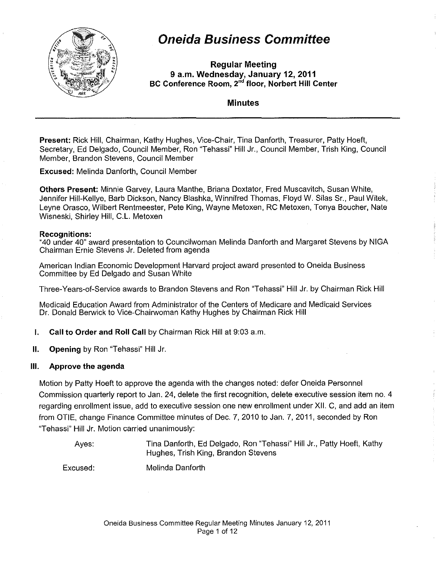

# **Oneida Business Committee**

**Regular Meeting 9 a.m. Wednesday, January 12, 2011**  BC Conference Room, 2<sup>nd</sup> floor, Norbert Hill Center

**Minutes** 

**Present:** Rick Hill, Chairman, Kathy Hughes, Vice-Chair, Tina Danforth, Treasurer, Patty Hoeft, Secretary, Ed Delgado, Council Member, Ron "Tehassi" Hill Jr., Council Member, Trish King, Council Member, Brandon Stevens, Council Member

Excused: Melinda Danforth, Council Member

**Others Present:** Minnie Garvey, Laura Manthe, Briana Doxtator, Fred Muscavitch, Susan White, Jennifer Hill-Kellye, Barb Dickson, Nancy Blashka, Winnifred Thomas, Floyd W. Silas Sr., Paul Witek, Leyne Orasco, Wilbert Rentmeester, Pete King, Wayne Metoxen, RC Metoxen, Tonya Boucher, Nate Wisneski, Shirley Hill, C.L. Metoxen

#### **Recognitions:**

"40 under 40" award presentation to Councilwoman Melinda Danforth and Margaret Stevens by NIGA Chairman Ernie Stevens Jr. Deleted from agenda

American Indian Economic Development Harvard project award presented to Oneida Business Committee by Ed Delgado and Susan White

Three-Years-of-Service awards to Brandon Stevens and Ron 'Tehassi" Hill Jr. by Chairman Rick Hill

Medicaid Education Award from Administrator of the Centers of Medicare and Medicaid Services Dr. Donald Berwick to Vice-Chairwoman Kathy Hughes by Chairman Rick Hill

- **I. Call to Order and Roll Call** by Chairman Rick Hill at 9:03 a.m.
- **II. Opening** by Ron "Tehassi" Hill Jr.

#### **III. Approve the agenda**

Motion by Patty Hoeft to approve the agenda with the changes noted: defer Oneida Personnel Commission quarterly report to Jan. 24, delete the first recognition, delete executive session item no. 4 regarding enrollment issue, add to executive session one new enrollment under XII. C, and add an item from OTIE, change Finance Committee minutes of Dec. 7, 2010 to Jan. 7, 2011, seconded by Ron "Tehassi" Hill Jr. Motion carried unanimously:

Ayes: Tina Danforth, Ed Delgado, Ron "Tehassi" Hill Jr., Patty Hoeft, Kathy Hughes, Trish King, Brandon Stevens

Excused:

Melinda Danforth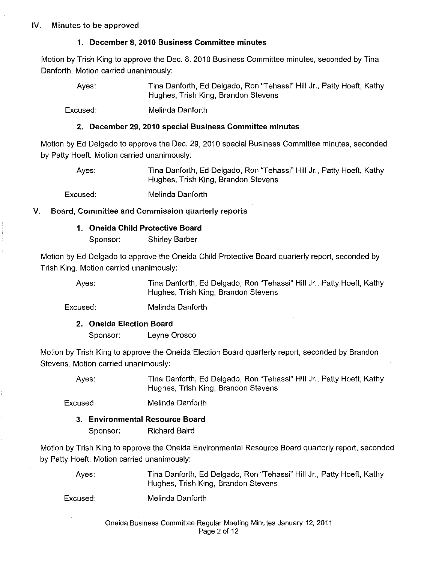### 1. December 8,2010 Business Committee minutes

Motion by Trish King to approve the Dec. 8, 2010 Business Committee minutes, seconded by Tina Danforth. Motion carried unanimously:

Ayes: Tina Danforth, Ed Delgado, Ron "Tehassi" Hill Jr., Patty Hoeft, Kathy Hughes, Trish King, Brandon Stevens

Excused: Melinda Danforth

### 2. December 29,2010 special Business Committee minutes

Motion by Ed Delgado to approve the Dec. 29, 2010 special Business Committee minutes, seconded by Patty Hoeft. Motion carried unanimously:

> Ayes: Tina Danforth, Ed Delgado, Ron "Tehassi" Hill Jr., Patty Hoeft, Kathy Hughes, Trish King, Brandon Stevens

Excused: Melinda Danforth

### V. Board, Committee and Commission quarterly reports

### 1. Oneida Child Protective Board

Sponsor: Shirley Barber

Motion by Ed Delgado to approve the Oneida Child Protective Board quarterly report, seconded by Trish King. Motion carried unanimously:

> Ayes: Tina Danforth, Ed Delgado, Ron "Tehassi" Hill Jr., Patty Hoeft, Kathy Hughes, Trish King, Brandon Stevens

Excused: Melinda Danforth

2. Oneida Election Board

Sponsor: Leyne Orosco

Motion by Trish King to approve the Oneida Election Board quarterly report, seconded by Brandon Stevens. Motion carried unanimously:

> Ayes: Tina Danforth, Ed Delgado, Ron "Tehassi" Hill Jr., Patty Hoeft, Kathy Hughes, Trish King, Brandon Stevens

Excused: Melinda Danforth

# 3. Environmental Resource Board

Sponsor: Richard Baird

Motion by Trish King to approve the Oneida Environmental Resource Board quarterly report, seconded by Patty Hoeft. Motion carried unanimously:

Ayes: Tina Danforth, Ed Delgado, Ron "Tehassi" Hill Jr., Patty Hoeft, Kathy Hughes, Trish King, Brandon Stevens

Excused: Melinda Danforth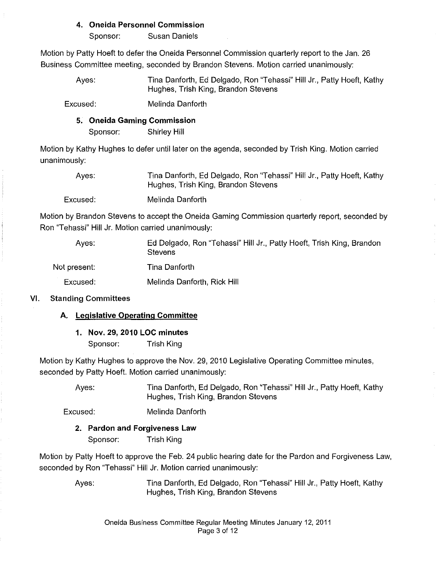### 4. Oneida Personnel Commission

Sponsor: Susan Daniels

Motion by Patty Hoeft to defer the Oneida Personnel Commission quarterly report to the Jan. 26 Business Committee meeting, seconded by Brandon Stevens. Motion carried unanimously:

> Ayes: Tina Danforth, Ed Delgado, Ron "Tehassi" Hill Jr., Patty Hoeft, Kathy Hughes, Trish King, Brandon Stevens

Excused: Melinda Danforth

### 5. Oneida Gaming Commission

Sponsor: Shirley Hill

Motion by Kathy Hughes to defer until later on the agenda, seconded by Trish King. Motion carried unanimously:

| Aves:    | Tina Danforth, Ed Delgado, Ron "Tehassi" Hill Jr., Patty Hoeft, Kathy<br>Hughes, Trish King, Brandon Stevens |
|----------|--------------------------------------------------------------------------------------------------------------|
| Excused: | Melinda Danforth                                                                                             |

Motion by Brandon Stevens to accept the Oneida Gaming Commission quarterly report, seconded by Ron "Tehassi" Hill Jr. Motion carried unanimously:

| Aves:        | Ed Delgado, Ron "Tehassi" Hill Jr., Patty Hoeft, Trish King, Brandon<br><b>Stevens</b> |
|--------------|----------------------------------------------------------------------------------------|
| Not present: | Tina Danforth                                                                          |
| Excused:     | Melinda Danforth, Rick Hill                                                            |

### VI. Standing Committees

# A. Legislative Operating Committee

1. Nov. 29, 2010 LOC minutes Sponsor: Trish King

Motion by Kathy Hughes to approve the Nov. 29, 2010 Legislative Operating Committee minutes, seconded by Patty Hoeft. Motion carried unanimously:

> Ayes: Tina Danforth, Ed Delgado, Ron "Tehassi" Hill Jr., Patty Hoeft, Kathy Hughes, Trish King, Brandon Stevens

Excused: Melinda Danforth

2. Pardon and Forgiveness Law

Sponsor: Trish King

Motion by Patty Hoeft to approve the Feb. 24 public hearing date for the Pardon and Forgiveness Law, seconded by Ron "Tehassi" Hill Jr. Motion carried unanimously:

> Ayes: Tina Danforth, Ed Delgado, Ron "Tehassi" Hill Jr., Patty Hoeft, Kathy Hughes, Trish King, Brandon Stevens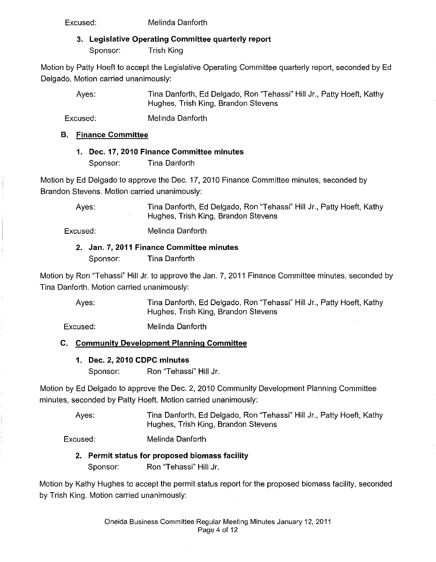Excused: Melinda Danforth

# **3. Legislative Operating Committee quarterly report**

Sponsor: Trish King

Motion by Patty Hoeft to accept the Legislative Operating Committee quarterly report, seconded by Ed Delgado. Motion carried unanimously:

> Ayes: Tina Danforth, Ed Delgado, Ron "Tehassi" Hill Jr., Patty Hoeft, Kathy Hughes, Trish King, Brandon Stevens

Excused: Melinda Danforth

# **B. Finance Committee**

# 1. **Dec. 17,2010 Finance Committee minutes**

Sponsor: Tina Danforth

Motion by Ed Delgado to approve the Dec. 17,2010 Finance Committee minutes, seconded by Brandon Stevens. Motion carried unanimously:

> Ayes: Tina Danforth, Ed Delgado, Ron "Tehassi" Hill Jr., Patty Hoeft, Kathy Hughes, Trish King, Brandon Stevens

Excused: Melinda Danforth

# 2. **Jan. 7, 2011 Finance Committee minutes**

Sponsor: Tina Danforth

Motion by Ron "Tehassi" Hill Jr. to approve the Jan. 7, 2011 Finance Committee minutes, seconded by Tina Danforth. Motion carried unanimously:

Ayes: Tina Danforth, Ed Delgado, Ron "Tehassi" Hill Jr., Patty Hoeft, Kathy Hughes, Trish King, Brandon Stevens

Excused: Melinda Danforth

# **C. Community Development Planning Committee**

# 1. **Dec. 2, 2010 CDPC minutes**

Sponsor: Ron "Tehassi" Hill Jr.

Motion by Ed Delgado to approve the Dec. 2, 2010 Community Development Planning Committee minutes, seconded by Patty Hoeft. Motion carried unanimously:

Ayes: Tina Danforth, Ed Delgado, Ron "Tehassi" Hill Jr., Patty Hoeft, Kathy Hughes, Trish King, Brandon Stevens

Excused: Melinda Danforth

# **2. Permit status for proposed biomass facility**

Sponsor: Ron "Tehassi" Hill Jr.

Motion by Kathy Hughes to accept the permit status report for the proposed biomass facility, seconded by Trish King. Motion carried unanimously: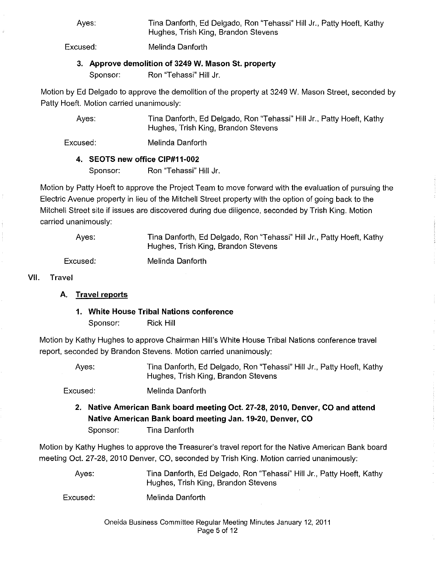Ayes: Tina Danforth, Ed Delgado, Ron "Tehassi" Hill Jr., Patty Hoeft, Kathy Hughes, Trish King, Brandon Stevens

Excused: Melinda Danforth

### 3. Approve demolition of 3249 W. Mason St. property

Sponsor: Ron "Tehassi" Hill Jr.

Motion by Ed Delgado to approve the demolition of the property at 3249 W. Mason Street, seconded by Patty Hoeft. Motion carried unanimously:

> Ayes: Tina Danforth, Ed Delgado, Ron "Tehassi" Hill Jr., Patty Hoeft, Kathy Hughes, Trish King, Brandon Stevens

Excused: Melinda Danforth

### 4. SEOTS new office CIP#11-002

Sponsor: Ron "Tehassi" Hill Jr.

Motion by Patty Hoeft to approve the Project Team to move forward with the evaluation of pursuing the Electric Avenue property in lieu of the Mitchell Street property with the option of going back to the Mitchell Street site if issues are discovered during due diligence, seconded by Trish King. Motion carried unanimously:

| Aves:    | Tina Danforth, Ed Delgado, Ron "Tehassi" Hill Jr., Patty Hoeft, Kathy<br>Hughes, Trish King, Brandon Stevens |
|----------|--------------------------------------------------------------------------------------------------------------|
| Excused: | Melinda Danforth                                                                                             |

#### VII. Travel

### A. Travel reports

### 1. White House Tribal Nations conference

Sponsor: Rick Hill

Motion by Kathy Hughes to approve Chairman Hill's White House Tribal Nations conference travel report, seconded by Brandon Stevens. Motion carried unanimously:

Ayes: Tina Danforth, Ed Delgado, Ron "Tehassi" Hill Jr., Patty Hoeft, Kathy Hughes, Trish King, Brandon Stevens

Excused: Melinda Danforth

2. Native American Bank board meeting Oct. 27-28, 2010, Denver, CO and attend Native American Bank board meeting Jan. 19-20, Denver, CO Sponsor: Tina Danforth

Motion by Kathy Hughes to approve the Treasurer's travel report for the Native American Bank board meeting Oct. 27-28, 2010 Denver, CO, seconded by Trish King. Motion carried unanimously:

Ayes: Tina Danforth, Ed Delgado, Ron "Tehassi" Hill Jr., Patty Hoeft, Kathy Hughes, Trish King, Brandon Stevens

Excused: Melinda Danforth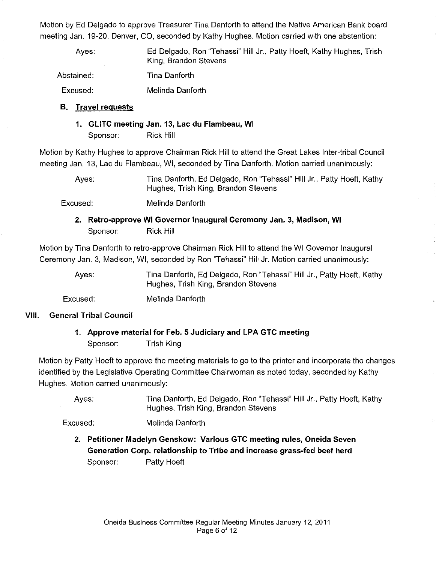Motion by Ed Delgado to approve Treasurer Tina Danforth to attend the Native American Bank board meeting Jan. 19-20, Denver, CO, seconded by Kathy Hughes. Motion carried with one abstention:

| Aves:      | Ed Delgado, Ron "Tehassi" Hill Jr., Patty Hoeft, Kathy Hughes, Trish<br>King, Brandon Stevens |
|------------|-----------------------------------------------------------------------------------------------|
| Abstained: | Tina Danforth                                                                                 |

Excused: Melinda Danforth

# B. Travel requests

1. GLiTC meeting Jan. 13, Lac du Flambeau, WI

Sponsor: Rick Hill

Motion by Kathy Hughes to approve Chairman Rick Hill to attend the Great Lakes Inter-tribal Council meeting Jan. 13, Lac du Flambeau, WI, seconded by Tina Danforth. Motion carried unanimously:

Ayes: Tina Danforth, Ed Delgado, Ron "Tehassi" Hill Jr., Patty Hoeft, Kathy Hughes, Trish King, Brandon Stevens

Excused: Melinda Danforth

# 2. Retro-approve WI Governor Inaugural Ceremony Jan. 3, Madison, WI Sponsor: Rick Hill

Motion by Tina Danforth to retro-approve Chairman Rick Hill to attend the WI Governor Inaugural Cerernony Jan. 3, Madison, WI, seconded by Ron "Tehassi" Hill Jr. Motion carried unanirnously:

Ayes: Tina Danforth, Ed Delgado, Ron "Tehassi" Hill Jr., Patty Hoeft, Kathy Hughes, Trish King, Brandon Stevens

Excused: Melinda Danforth

# VIII. General Tribal Council

# 1. Approve material for Feb. 5 Judiciary and LPA GTC meeting Sponsor: Trish King

Motion by Patty Hoeft to approve the meeting materials to go to the printer and incorporate the changes identified by the Legislative Operating Committee Chairwoman as noted today, seconded by Kathy Hughes. Motion carried unanimously:

Ayes: Tina Danforth, Ed Delgado, Ron "Tehassi" Hill Jr., Patty Hoeft, Kathy Hughes, Trish King, Brandon Stevens

Excused: Melinda Danforth

> 2. Petitioner Madelyn Genskow: Various GTC meeting rules, Oneida Seven Generation Corp. relationship to Tribe and increase grass-fed beef herd Sponsor: Patty Hoeft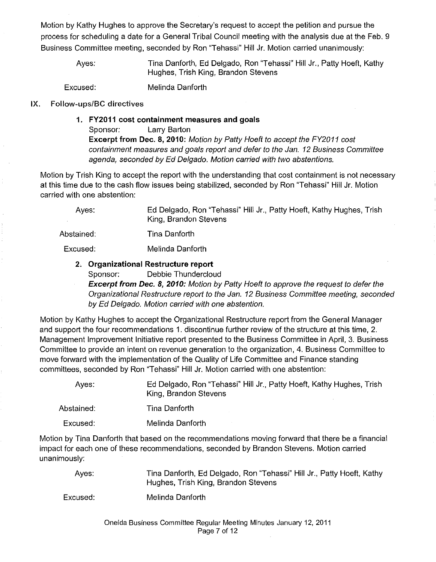Motion by Kathy Hughes to approve the Secretary's request to accept the petition and pursue the process for scheduling a date for a General Tribal Council meeting with the analysis due at the Feb. 9 Business Committee meeting, seconded by Ron "Tehassi" Hill Jr. Motion carried unanimously:

> Ayes: Tina Danforth, Ed Delgado, Ron "Tehassi" Hill Jr., Patty Hoeft, Kathy Hughes, Trish King, Brandon Stevens

Excused: Melinda Danforth

### IX. Follow-ups/BC directives

### 1. FY2011 cost containment measures and goals

Sponsor: Larry Barton

Excerpt from Dec. 8, 2010: Motion by Patty Hoeft to accept the FY2011 cost containment measures and goals report and defer to the Jan. 12 Business Committee agenda, seconded by Ed Delgado. Motion carried with two abstentions.

Motion by Trish King to accept the report with the understanding that cost containment is not necessary at this time due to the cash flow issues being stabilized, seconded by Ron "Tehassi" Hill Jr. Motion carried with one abstention:

| Aves:      | Ed Delgado, Ron "Tehassi" Hill Jr., Patty Hoeft, Kathy Hughes, Trish<br>King, Brandon Stevens |
|------------|-----------------------------------------------------------------------------------------------|
| Abstained: | Tina Danforth                                                                                 |
| Excused:   | Melinda Danforth                                                                              |

# 2. Organizational Restructure report

Sponsor: Debbie Thundercloud

Excerpt from Dec. 8, 2010: Motion by Patty Hoeft to approve the request to defer the Organizational Restructure report to the Jan. 12 Business Committee meeting, seconded by Ed Delgado. Motion carried with one abstention.

Motion by Kathy Hughes to accept the Organizational Restructure report from the General Manager and support the four recommendations 1. discontinue further review of the structure at this time, 2. Management Improvement Initiative report presented to the Business Committee in April, 3. Business Committee to provide an intent on revenue generation to the organization, 4. Business Committee to move forward with the implementation of the Quality of Life Committee and Finance standing committees, seconded by Ron "Tehassi" Hill Jr. Motion carried with one abstention:

| Aves:      | Ed Delgado, Ron "Tehassi" Hill Jr., Patty Hoeft, Kathy Hughes, Trish<br>King, Brandon Stevens |
|------------|-----------------------------------------------------------------------------------------------|
| Abstained: | Tina Danforth                                                                                 |
|            |                                                                                               |

Excused: Melinda Danforth

Motion by Tina Danforth that based on the recommendations moving forward that there be a financial impact for each one of these recommendations, seconded by Brandon Stevens. Motion carried unanimously:

| Ayes: | Tina Danforth, Ed Delgado, Ron "Tehassi" Hill Jr., Patty Hoeft, Kathy |
|-------|-----------------------------------------------------------------------|
|       | Hughes, Trish King, Brandon Stevens                                   |

Excused: Melinda Danforth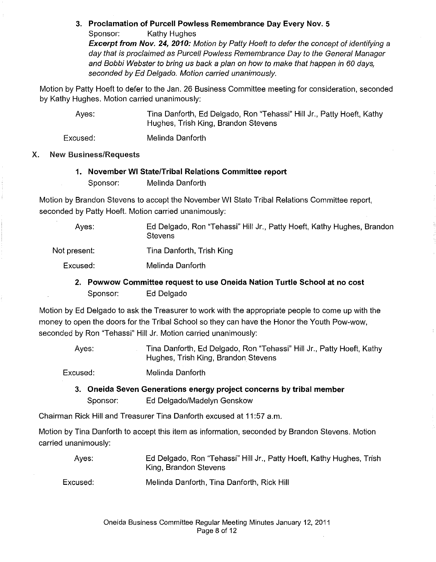### 3. Proclamation of Purcell Powless Remembrance Day Every Nov. 5

Sponsor: Kathy Hughes

Excerpt from Nov. 24, 2010: Motion by Patty Hoeft to defer the concept of identifying a day that is proclaimed as Purcell Powless Remembrance Day to the General Manager and Bobbi Webster to bring us back a plan on how to make that happen in 60 days, seconded by Ed Delgado. Motion carried unanimously.

Motion by Patty Hoeft to defer to the Jan. 26 Business Committee meeting for consideration, seconded by Kathy Hughes. Motion carried unanimously:

Ayes: Tina Danforth, Ed Delgado, Ron "Tehassi" Hill Jr., Patty Hoeft, Kathy Hughes, Trish King, Brandon Stevens

Excused: Melinda Danforth

#### X. New Business/Requests

1. November **WI** StatelTribal Relations Committee report

Sponsor: Melinda Danforth

Motion by Brandon Stevens to accept the November WI State Tribal Relations Committee report, seconded by Patty Hoeft. Motion carried unanimously:

Ayes: Ed Delgado, Ron "Tehassi" Hill Jr., Patty Hoeft, Kathy Hughes, Brandon **Stevens** 

Not present: Tina Danforth, Trish King

Excused: Melinda Danforth

2. Powwow Committee request to use Oneida Nation Turtle School at no cost Sponsor: Ed Delgado

Motion by Ed Delgado to ask the Treasurer to work with the appropriate people to come up with the money to open the doors for the Tribal School so they can have the Honor the Youth Pow-wow, seconded by Ron "Tehassi" Hill Jr. Motion carried unanimously:

Ayes: Tina Danforth, Ed Delgado, Ron "Tehassi" Hill Jr., Patty Hoeft, Kathy Hughes, Trish King, Brandon Stevens

Excused: Melinda Danforth

3. Oneida Seven Generations energy project concerns by tribal member Sponsor: Ed Delgado/Madelyn Genskow

Chairman Rick Hill and Treasurer Tina Danforth excused at 11 :57 a.m.

Motion by Tina Danforth to accept this item as information, seconded by Brandon Stevens. Motion carried unanimously:

Ayes: Ed Delgado, Ron 'Tehassi" Hill Jr., Patty Hoeft, Kathy Hughes, Trish King, Brandon Stevens

Excused: Melinda Danforth, Tina Danforth, Rick Hill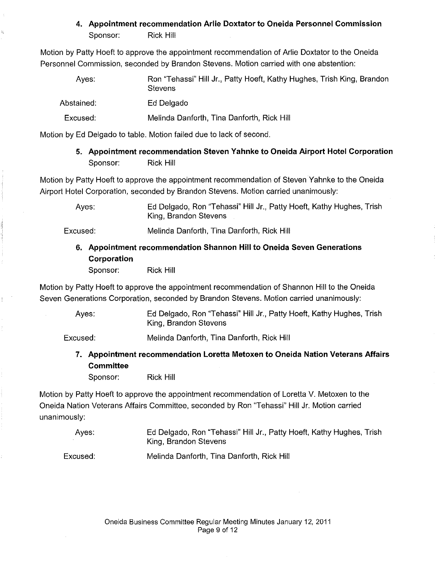# **4. Appointment recommendation Arlie Doxtator to Oneida Personnel Commission**

Sponsor: Rick Hill

Motion by Patty Hoeft to approve the appointment recommendation of Arlie Doxtator to the Oneida Personnel Commission, seconded by Brandon Stevens. Motion carried with one abstention:

| Aves:      | Ron "Tehassi" Hill Jr., Patty Hoeft, Kathy Hughes, Trish King, Brandon<br><b>Stevens</b> |
|------------|------------------------------------------------------------------------------------------|
| Abstained: | Ed Delgado                                                                               |
| Excused:   | Melinda Danforth, Tina Danforth, Rick Hill                                               |

Motion by Ed Delgado to table. Motion failed due to lack of second.

**5. Appointment recommendation Steven Yahnke to Oneida Airport Hotel Corporation**  Sponsor: Rick Hill

Motion by Patty Hoeft to approve the appointment recommendation of Steven Yahnke to the Oneida Airport Hotel Corporation, seconded by Brandon Stevens. Motion carried unanimously:

> Ayes: Ed Delgado, Ron "Tehassi" Hill Jr., Patty Hoeft, Kathy Hughes, Trish King, Brandon Stevens

Excused: Melinda Danforth, Tina Danforth, Rick Hill

**6. Appointment recommendation Shannon Hill to Oneida Seven Generations Corporation** 

Sponsor: Rick Hill

Motion by Patty Hoeft to approve the appointment recommendation of Shannon Hill to the Oneida Seven Generations Corporation, seconded by Brandon Stevens. Motion carried unanimously:

Ayes: Ed Delgado, Ron "Tehassi" Hill Jr., Patty Hoeft, Kathy Hughes, Trish King, Brandon Stevens

Excused: Melinda Danforth, Tina Danforth, Rick Hill

**7. Appointment recommendation Loretta Metoxen to Oneida Nation Veterans Affairs Committee** 

Sponsor: Rick Hill

Motion by Patty Hoeft to approve the appointment recommendation of Loretta V. Metoxen to the Oneida Nation Veterans Affairs Committee, seconded by Ron "Tehassi" Hill Jr. Motion carried unanimously:

| Aves:    | Ed Delgado, Ron "Tehassi" Hill Jr., Patty Hoeft, Kathy Hughes, Trish<br>King, Brandon Stevens |
|----------|-----------------------------------------------------------------------------------------------|
| Excused: | Melinda Danforth, Tina Danforth, Rick Hill                                                    |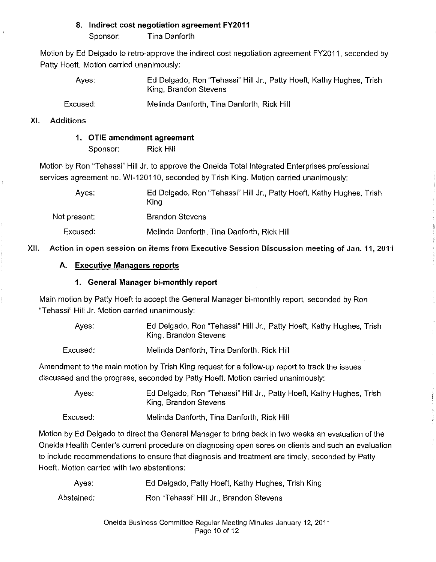#### 8. Indirect cost negotiation agreement FY2011

Sponsor: Tina Danforth

Motion by Ed Delgado to retro-approve the indirect cost negotiation agreement FY2011, seconded by Patty Hoeft. Motion carried unanimously:

| Ayes: | Ed Delgado, Ron "Tehassi" Hill Jr., Patty Hoeft, Kathy Hughes, Trish<br>King, Brandon Stevens |
|-------|-----------------------------------------------------------------------------------------------|
|       |                                                                                               |

Excused: Melinda Danforth, Tina Danforth, Rick Hill

### XI. Additions

# 1. OTIE amendment agreement

Sponsor: Rick Hill

Motion by Ron "Tehassi" Hill Jr. to approve the Oneida Total Integrated Enterprises professional services agreement no. WI-120110, seconded by Trish King. Motion carried unanimously:

| Aves:        | Ed Delgado, Ron "Tehassi" Hill Jr., Patty Hoeft, Kathy Hughes, Trish<br>King |
|--------------|------------------------------------------------------------------------------|
| Not present: | <b>Brandon Stevens</b>                                                       |
| Excused:     | Melinda Danforth, Tina Danforth, Rick Hill                                   |

XII. Action in open session on items from Executive Session Discussion meeting of Jan. 11,2011

# A. Executive Managers reports

# 1. General Manager bi-monthly report

Main motion by Patty Hoeft to accept the General Manager bi-monthly report, seconded by Ron "Tehassi" Hill Jr. Motion carried unanimously:

| Ayes: | Ed Delgado, Ron "Tehassi" Hill Jr., Patty Hoeft, Kathy Hughes, Trish<br>King, Brandon Stevens |
|-------|-----------------------------------------------------------------------------------------------|
|       |                                                                                               |

Excused: Melinda Danforth, Tina Danforth, Rick Hill

Amendment to the main motion by Trish King request for a follow-up report to track the issues discussed and the progress, seconded by Patty Hoeft. Motion carried unanimously:

> Ayes: Ed Delgado, Ron "Tehassi" Hill Jr., Patty Hoeft, Kathy Hughes, Trish King, Brandon Stevens

Excused: Melinda Danforth, Tina Danforth, Rick Hill

Motion by Ed Delgado to direct the General Manager to bring back in two weeks an evaluation of the Oneida Health Center's current procedure on diagnosing open sores on clients and such an evaluation to include recommendations to ensure that diagnosis and treatment are timely, seconded by Patty Hoeft. Motion carried with two abstentions:

| Aves:      | Ed Delgado, Patty Hoeft, Kathy Hughes, Trish King |
|------------|---------------------------------------------------|
| Abstained: | Ron "Tehassi" Hill Jr., Brandon Stevens           |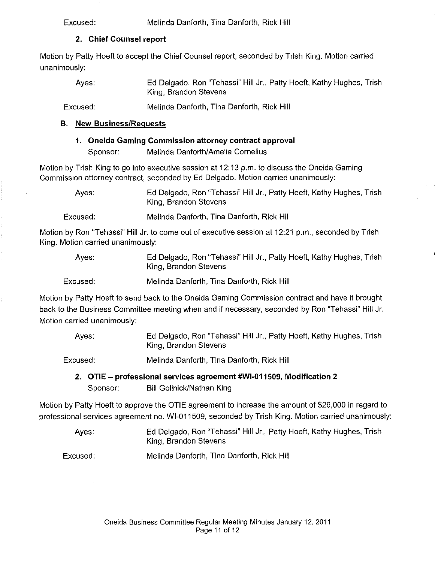### **2. Chief Counsel report**

Motion by Patty Hoeft to accept the Chief Counsel report, seconded by Trish King. Motion carried unanimously:

| Ayes: | Ed Delgado, Ron "Tehassi" Hill Jr., Patty Hoeft, Kathy Hughes, Trish |
|-------|----------------------------------------------------------------------|
|       | King, Brandon Stevens                                                |

Excused: Melinda Danforth, Tina Danforth, Rick Hill

### **B. New Business/Requests**

### **1. Oneida Gaming Commission attorney contract approval**

Sponsor: Melinda Danforth/Amelia Cornelius

Motion by Trish King to go into executive session at 12:13 p.m. to discuss the Oneida Gaming Commission attorney contract, seconded by Ed Delgado. Motion carried unanimously:

> Ayes: Ed Delgado, Ron "Tehassi" Hill Jr., Patty Hoeft, Kathy Hughes, Trish King, Brandon Stevens

Excused: Melinda Danforth, Tina Danforth, Rick Hill

Motion by Ron "Tehassi" Hill Jr. to come out of executive session at 12:21 p.m., seconded by Trish King. Motion carried unanimously:

| Aves:    | Ed Delgado, Ron "Tehassi" Hill Jr., Patty Hoeft, Kathy Hughes, Trish<br>King, Brandon Stevens |
|----------|-----------------------------------------------------------------------------------------------|
| Excused: | Melinda Danforth, Tina Danforth, Rick Hill                                                    |

Motion by Patty Hoeft to send back to the Oneida Gaming Commission contract and have it brought back to the Business Committee meeting when and if necessary, seconded by Ron "Tehassi" Hill Jr. Motion carried unanimously:

Ayes: Ed Delgado, Ron "Tehassi" Hill Jr., Patty Hoeft, Kathy Hughes, Trish King, Brandon Stevens

Excused: Melinda Danforth, Tina Danforth, Rick Hill

# **2. OTIE - professional services agreement** #WI-011 509, **Modification** 2 Sponsor: Bill Gollnick/Nathan King

Motion by Patty Hoeft to approve the OTIE agreement to increase the amount of \$26,000 in regard to professional services agreement no. WI-011509, seconded by Trish King. Motion carried unanimously:

Ayes: Ed Delgado, Ron "Tehassi" Hill Jr., Patty Hoeft, Kathy Hughes, Trish King, Brandon Stevens

Excused: Melinda Danforth, Tina Danforth, Rick Hill